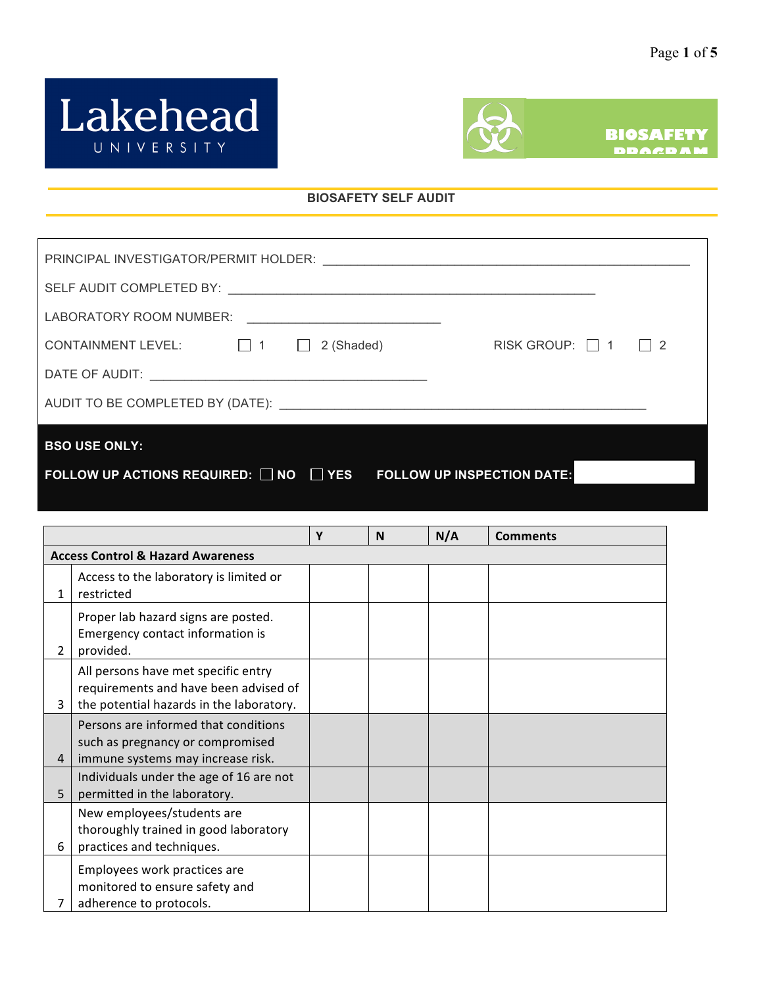



## **BIOSAFETY SELF AUDIT**

| LABORATORY ROOM NUMBER:<br><u> 1980 - Andrea Aonaichte ann an t-</u>                  |  |  |  |                     |  |  |
|---------------------------------------------------------------------------------------|--|--|--|---------------------|--|--|
| CONTAINMENT LEVEL: $\Box$ 1 $\Box$ 2 (Shaded)                                         |  |  |  | RISK GROUP: 1 1 1 2 |  |  |
|                                                                                       |  |  |  |                     |  |  |
|                                                                                       |  |  |  |                     |  |  |
| <b>BSO USE ONLY:</b>                                                                  |  |  |  |                     |  |  |
| FOLLOW UP ACTIONS REQUIRED: $\Box$ NO $\Box$ YES<br><b>FOLLOW UP INSPECTION DATE:</b> |  |  |  |                     |  |  |

|   |                                                                                                                          | Y | N | N/A | <b>Comments</b> |  |  |  |
|---|--------------------------------------------------------------------------------------------------------------------------|---|---|-----|-----------------|--|--|--|
|   | <b>Access Control &amp; Hazard Awareness</b>                                                                             |   |   |     |                 |  |  |  |
| 1 | Access to the laboratory is limited or<br>restricted                                                                     |   |   |     |                 |  |  |  |
| 2 | Proper lab hazard signs are posted.<br>Emergency contact information is<br>provided.                                     |   |   |     |                 |  |  |  |
| 3 | All persons have met specific entry<br>requirements and have been advised of<br>the potential hazards in the laboratory. |   |   |     |                 |  |  |  |
| 4 | Persons are informed that conditions<br>such as pregnancy or compromised<br>immune systems may increase risk.            |   |   |     |                 |  |  |  |
| 5 | Individuals under the age of 16 are not<br>permitted in the laboratory.                                                  |   |   |     |                 |  |  |  |
| 6 | New employees/students are<br>thoroughly trained in good laboratory<br>practices and techniques.                         |   |   |     |                 |  |  |  |
| 7 | Employees work practices are<br>monitored to ensure safety and<br>adherence to protocols.                                |   |   |     |                 |  |  |  |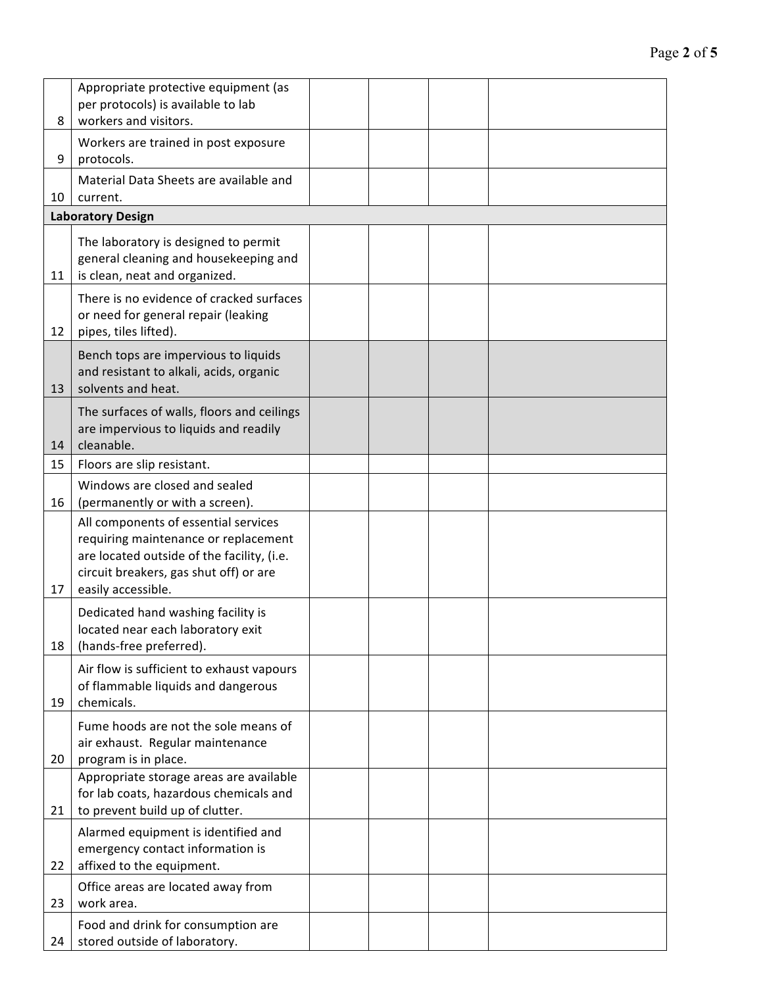| 8  | Appropriate protective equipment (as<br>per protocols) is available to lab<br>workers and visitors.                                                                                        |  |  |
|----|--------------------------------------------------------------------------------------------------------------------------------------------------------------------------------------------|--|--|
| 9  | Workers are trained in post exposure<br>protocols.                                                                                                                                         |  |  |
| 10 | Material Data Sheets are available and<br>current.                                                                                                                                         |  |  |
|    | <b>Laboratory Design</b>                                                                                                                                                                   |  |  |
| 11 | The laboratory is designed to permit<br>general cleaning and housekeeping and<br>is clean, neat and organized.                                                                             |  |  |
| 12 | There is no evidence of cracked surfaces<br>or need for general repair (leaking<br>pipes, tiles lifted).                                                                                   |  |  |
| 13 | Bench tops are impervious to liquids<br>and resistant to alkali, acids, organic<br>solvents and heat.                                                                                      |  |  |
| 14 | The surfaces of walls, floors and ceilings<br>are impervious to liquids and readily<br>cleanable.                                                                                          |  |  |
| 15 | Floors are slip resistant.                                                                                                                                                                 |  |  |
| 16 | Windows are closed and sealed<br>(permanently or with a screen).                                                                                                                           |  |  |
| 17 | All components of essential services<br>requiring maintenance or replacement<br>are located outside of the facility, (i.e.<br>circuit breakers, gas shut off) or are<br>easily accessible. |  |  |
| 18 | Dedicated hand washing facility is<br>located near each laboratory exit<br>(hands-free preferred).                                                                                         |  |  |
| 19 | Air flow is sufficient to exhaust vapours<br>of flammable liquids and dangerous<br>chemicals.                                                                                              |  |  |
| 20 | Fume hoods are not the sole means of<br>air exhaust. Regular maintenance<br>program is in place.                                                                                           |  |  |
| 21 | Appropriate storage areas are available<br>for lab coats, hazardous chemicals and<br>to prevent build up of clutter.                                                                       |  |  |
| 22 | Alarmed equipment is identified and<br>emergency contact information is<br>affixed to the equipment.                                                                                       |  |  |
| 23 | Office areas are located away from<br>work area.                                                                                                                                           |  |  |
| 24 | Food and drink for consumption are<br>stored outside of laboratory.                                                                                                                        |  |  |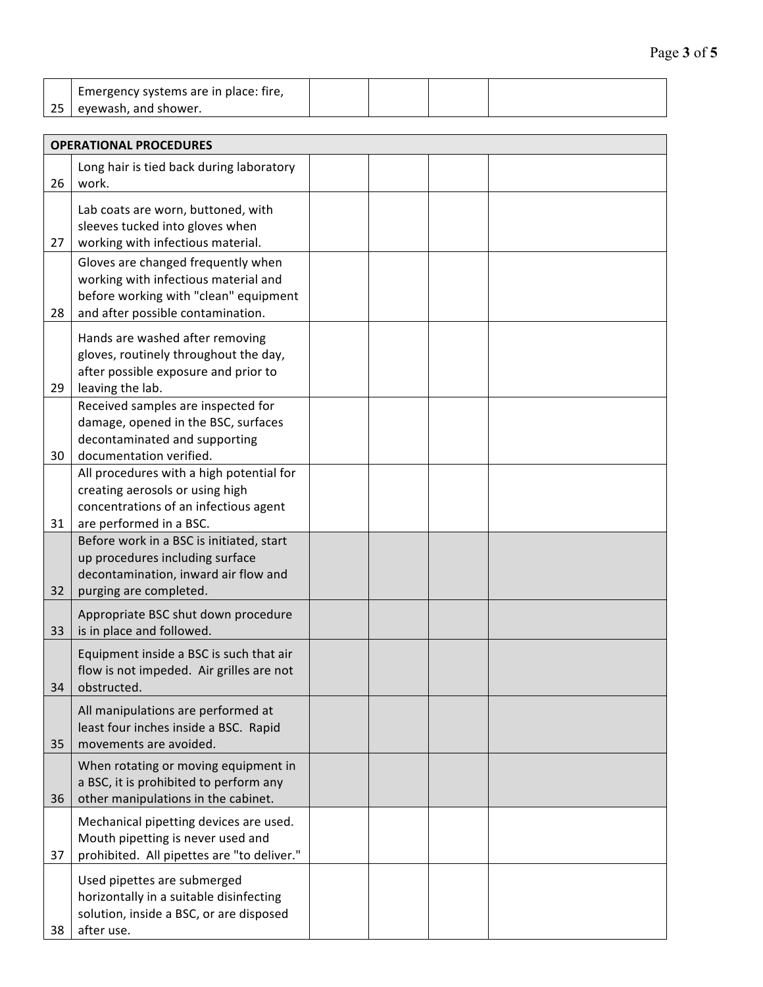| I Emergency systems are in place: fire, |  |  |
|-----------------------------------------|--|--|
| 25 eyewash, and shower.                 |  |  |

|    | <b>OPERATIONAL PROCEDURES</b>                                                                                                                            |  |  |
|----|----------------------------------------------------------------------------------------------------------------------------------------------------------|--|--|
| 26 | Long hair is tied back during laboratory<br>work.                                                                                                        |  |  |
| 27 | Lab coats are worn, buttoned, with<br>sleeves tucked into gloves when<br>working with infectious material.                                               |  |  |
| 28 | Gloves are changed frequently when<br>working with infectious material and<br>before working with "clean" equipment<br>and after possible contamination. |  |  |
| 29 | Hands are washed after removing<br>gloves, routinely throughout the day,<br>after possible exposure and prior to<br>leaving the lab.                     |  |  |
| 30 | Received samples are inspected for<br>damage, opened in the BSC, surfaces<br>decontaminated and supporting<br>documentation verified.                    |  |  |
| 31 | All procedures with a high potential for<br>creating aerosols or using high<br>concentrations of an infectious agent<br>are performed in a BSC.          |  |  |
| 32 | Before work in a BSC is initiated, start<br>up procedures including surface<br>decontamination, inward air flow and<br>purging are completed.            |  |  |
| 33 | Appropriate BSC shut down procedure<br>is in place and followed.                                                                                         |  |  |
| 34 | Equipment inside a BSC is such that air<br>flow is not impeded. Air grilles are not<br>obstructed.                                                       |  |  |
| 35 | All manipulations are performed at<br>least four inches inside a BSC. Rapid<br>movements are avoided.                                                    |  |  |
| 36 | When rotating or moving equipment in<br>a BSC, it is prohibited to perform any<br>other manipulations in the cabinet.                                    |  |  |
| 37 | Mechanical pipetting devices are used.<br>Mouth pipetting is never used and<br>prohibited. All pipettes are "to deliver."                                |  |  |
| 38 | Used pipettes are submerged<br>horizontally in a suitable disinfecting<br>solution, inside a BSC, or are disposed<br>after use.                          |  |  |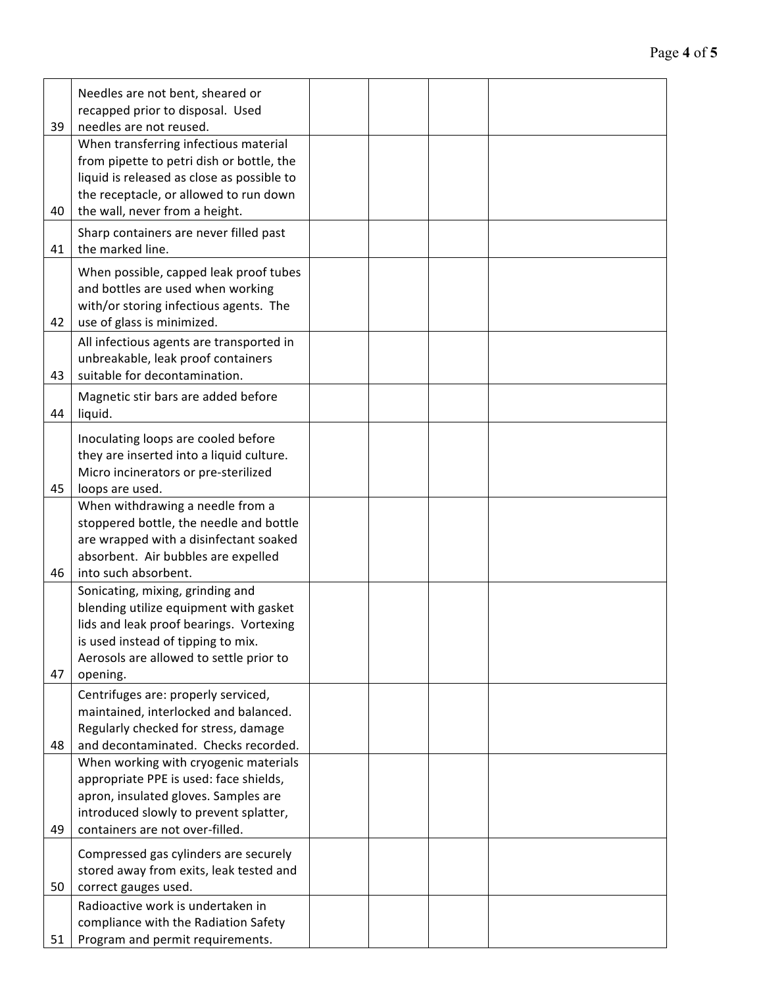| 39       | Needles are not bent, sheared or<br>recapped prior to disposal. Used<br>needles are not reused.                                                                                                                                            |  |  |
|----------|--------------------------------------------------------------------------------------------------------------------------------------------------------------------------------------------------------------------------------------------|--|--|
| 40       | When transferring infectious material<br>from pipette to petri dish or bottle, the<br>liquid is released as close as possible to<br>the receptacle, or allowed to run down<br>the wall, never from a height.                               |  |  |
| 41       | Sharp containers are never filled past<br>the marked line.                                                                                                                                                                                 |  |  |
| 42       | When possible, capped leak proof tubes<br>and bottles are used when working<br>with/or storing infectious agents. The<br>use of glass is minimized.                                                                                        |  |  |
| 43       | All infectious agents are transported in<br>unbreakable, leak proof containers<br>suitable for decontamination.                                                                                                                            |  |  |
| 44       | Magnetic stir bars are added before<br>liquid.                                                                                                                                                                                             |  |  |
| 45       | Inoculating loops are cooled before<br>they are inserted into a liquid culture.<br>Micro incinerators or pre-sterilized<br>loops are used.                                                                                                 |  |  |
|          | When withdrawing a needle from a<br>stoppered bottle, the needle and bottle<br>are wrapped with a disinfectant soaked<br>absorbent. Air bubbles are expelled                                                                               |  |  |
| 46<br>47 | into such absorbent.<br>Sonicating, mixing, grinding and<br>blending utilize equipment with gasket<br>lids and leak proof bearings. Vortexing<br>is used instead of tipping to mix.<br>Aerosols are allowed to settle prior to<br>opening. |  |  |
| 48       | Centrifuges are: properly serviced,<br>maintained, interlocked and balanced.<br>Regularly checked for stress, damage<br>and decontaminated. Checks recorded.                                                                               |  |  |
| 49       | When working with cryogenic materials<br>appropriate PPE is used: face shields,<br>apron, insulated gloves. Samples are<br>introduced slowly to prevent splatter,<br>containers are not over-filled.                                       |  |  |
| 50       | Compressed gas cylinders are securely<br>stored away from exits, leak tested and<br>correct gauges used.                                                                                                                                   |  |  |
| 51       | Radioactive work is undertaken in<br>compliance with the Radiation Safety<br>Program and permit requirements.                                                                                                                              |  |  |